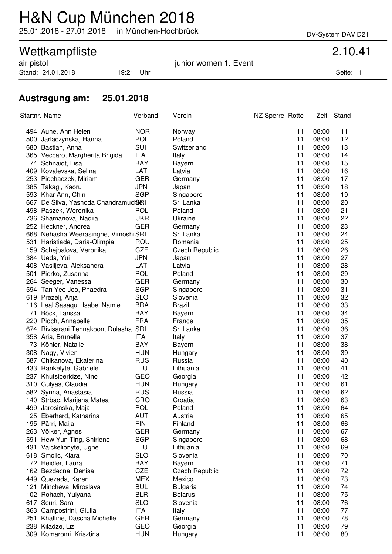## H&N Cup München 2018

25.01.2018 - 27.01.2018 in München-Hochbrück DV-System DAVID21+

# Wettkampfliste 2.10.41<br>
air pistol 2.10.41

Stand: 24.01.2018 19:21 Uhr Seite: 1

junior women 1. Event

### **Austragung am: 25.01.2018**

|     | <u>Startnr. Name</u>                  | <b>Verband</b> | <u>Verein</u>         | NZ Sperre Rotte |    | <u>Zeit</u> | Stand |
|-----|---------------------------------------|----------------|-----------------------|-----------------|----|-------------|-------|
|     | 494 Aune, Ann Helen                   | <b>NOR</b>     | Norway                |                 | 11 | 08:00       | 11    |
|     | 500 Jarlaczynska, Hanna               | <b>POL</b>     | Poland                |                 | 11 | 08:00       | 12    |
|     | 680 Bastian, Anna                     | SUI            | Switzerland           |                 | 11 | 08:00       | 13    |
|     | 365 Veccaro, Margherita Brigida       | <b>ITA</b>     | Italy                 |                 | 11 | 08:00       | 14    |
|     | 74 Schnaidt, Lisa                     | <b>BAY</b>     | <b>Bayern</b>         |                 | 11 | 08:00       | 15    |
|     | 409 Kovalevska, Selina                | <b>LAT</b>     | Latvia                |                 | 11 | 08:00       | 16    |
|     | 253 Piechaczek, Miriam                | <b>GER</b>     | Germany               |                 | 11 | 08:00       | 17    |
|     | 385 Takagi, Kaoru                     | <b>JPN</b>     | Japan                 |                 | 11 | 08:00       | 18    |
|     | 593 Khar Ann, Chin                    | <b>SGP</b>     | Singapore             |                 | 11 | 08:00       | 19    |
|     | 667 De Silva, Yashoda Chandramucl&RI  |                | Sri Lanka             |                 | 11 | 08:00       | 20    |
|     | 498 Paszek, Weronika                  | <b>POL</b>     | Poland                |                 | 11 | 08:00       | 21    |
|     | 736 Shamanova, Nadiia                 | <b>UKR</b>     | Ukraine               |                 | 11 | 08:00       | 22    |
|     | 252 Heckner, Andrea                   | <b>GER</b>     | Germany               |                 | 11 | 08:00       | 23    |
|     | 668 Nehasha Weerasinghe, Vimoshi SRI  |                | Sri Lanka             |                 | 11 | 08:00       | 24    |
|     | 531 Haristiade, Daria-Olimpia         | ROU            | Romania               |                 | 11 | 08:00       | 25    |
|     | 159 Schejbalova, Veronika             | <b>CZE</b>     | <b>Czech Republic</b> |                 | 11 | 08:00       | 26    |
|     | 384 Ueda, Yui                         | <b>JPN</b>     | Japan                 |                 | 11 | 08:00       | 27    |
|     | 408 Vasiljeva, Aleksandra             | LAT            | Latvia                |                 | 11 | 08:00       | 28    |
|     | 501 Pierko, Zusanna                   | <b>POL</b>     | Poland                |                 | 11 | 08:00       | 29    |
|     | 264 Seeger, Vanessa                   | <b>GER</b>     | Germany               |                 | 11 | 08:00       | 30    |
|     | 594 Tan Yee Joo, Phaedra              | <b>SGP</b>     | Singapore             |                 | 11 | 08:00       | 31    |
|     | 619 Prezelj, Anja                     | <b>SLO</b>     | Slovenia              |                 | 11 | 08:00       | 32    |
|     | 116 Leal Sasaqui, Isabel Namie        | <b>BRA</b>     | <b>Brazil</b>         |                 | 11 | 08:00       | 33    |
|     | 71 Böck, Larissa                      | <b>BAY</b>     | Bayern                |                 | 11 | 08:00       | 34    |
|     | 220 Pioch, Annabelle                  | <b>FRA</b>     | France                |                 | 11 | 08:00       | 35    |
|     | 674 Rivisarani Tennakoon, Dulasha SRI |                | Sri Lanka             |                 | 11 | 08:00       | 36    |
|     | 358 Aria, Brunella                    | <b>ITA</b>     | Italy                 |                 | 11 | 08:00       | 37    |
|     | 73 Köhler, Natalie                    | <b>BAY</b>     | Bayern                |                 | 11 | 08:00       | 38    |
|     | 308 Nagy, Vivien                      | <b>HUN</b>     | Hungary               |                 | 11 | 08:00       | 39    |
|     | 587 Chikanova, Ekaterina              | <b>RUS</b>     | Russia                |                 | 11 | 08:00       | 40    |
|     | 433 Rankelyte, Gabriele               | LTU            | Lithuania             |                 | 11 | 08:00       | 41    |
|     | 237 Khutsiberidze, Nino               | GEO            | Georgia               |                 | 11 | 08:00       | 42    |
|     | 310 Gulyas, Claudia                   | <b>HUN</b>     | Hungary               |                 | 11 | 08:00       | 61    |
|     | 582 Syrina, Anastasia                 | <b>RUS</b>     | Russia                |                 | 11 | 08:00       | 62    |
|     | 140 Strbac, Marijana Matea            | CRO            | Croatia               |                 | 11 | 08:00       | 63    |
|     | 499 Jarosinska, Maja                  | <b>POL</b>     | Poland                |                 | 11 | 08:00       | 64    |
|     | 25 Eberhard, Katharina                | <b>AUT</b>     | Austria               |                 | 11 | 08:00       | 65    |
|     | 195 Pärri, Maija                      | <b>FIN</b>     | Finland               |                 | 11 | 08:00       | 66    |
|     | 263 Völker, Agnes                     | <b>GER</b>     | Germany               |                 | 11 | 08:00       | 67    |
| 591 | Hew Yun Ting, Shirlene                | <b>SGP</b>     | Singapore             |                 | 11 | 08:00       | 68    |
| 431 | Vaickelionyte, Ugne                   | LTU            | Lithuania             |                 | 11 | 08:00       | 69    |
|     | 618 Smolic, Klara                     | <b>SLO</b>     | Slovenia              |                 | 11 | 08:00       | 70    |
|     | 72 Heidler, Laura                     | <b>BAY</b>     | Bayern                |                 | 11 | 08:00       | 71    |
|     | 162 Bezdecna, Denisa                  | <b>CZE</b>     | <b>Czech Republic</b> |                 | 11 | 08:00       | 72    |
|     | 449 Quezada, Karen                    | <b>MEX</b>     | Mexico                |                 | 11 | 08:00       | 73    |
|     | 121 Mincheva, Miroslava               | <b>BUL</b>     | <b>Bulgaria</b>       |                 | 11 | 08:00       | 74    |
|     | 102 Rohach, Yulyana                   | <b>BLR</b>     | <b>Belarus</b>        |                 | 11 | 08:00       | 75    |
|     | 617 Scuri, Sara                       | <b>SLO</b>     | Slovenia              |                 | 11 | 08:00       | 76    |
|     | 363 Campostrini, Giulia               | ITA            | Italy                 |                 | 11 | 08:00       | 77    |
|     | 251 Khalfine, Dascha Michelle         | <b>GER</b>     | Germany               |                 | 11 | 08:00       | 78    |
|     | 238 Kiladze, Lizi                     | GEO            | Georgia               |                 | 11 | 08:00       | 79    |
|     | 309 Komaromi, Krisztina               | <b>HUN</b>     | Hungary               |                 | 11 | 08:00       | 80    |